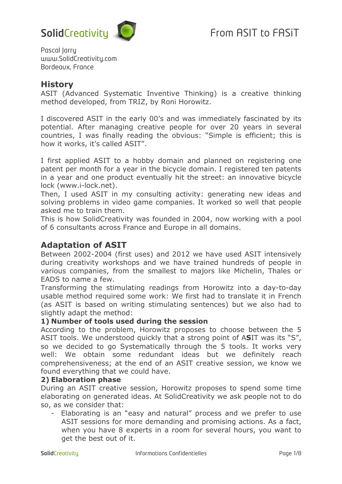Pascal Jarry www.SolidCreativity.com Bordeaux, France

## **History**

ASIT (Advanced Systematic Inventive Thinking) is a creative thinking method developed, from TRIZ, by Roni Horowitz.

I discovered ASIT in the early 00's and was immediately fascinated by its potential. After managing creative people for over 20 years in several countries, I was finally reading the obvious: "Simple is efficient; this is how it works, it's called ASIT".

I first applied ASIT to a hobby domain and planned on registering one patent per month for a year in the bicycle domain. I registered ten patents in a year and one product eventually hit the street: an innovative bicycle lock (www.i-lock.net).

Then, I used ASIT in my consulting activity: generating new ideas and solving problems in video game companies. It worked so well that people asked me to train them.

This is how SolidCreativity was founded in 2004, now working with a pool of 6 consultants across France and Europe in all domains.

# **Adaptation of ASIT**

Between 2002-2004 (first uses) and 2012 we have used ASIT intensively during creativity workshops and we have trained hundreds of people in various companies, from the smallest to majors like Michelin, Thales or EADS to name a few.

Transforming the stimulating readings from Horowitz into a day-to-day usable method required some work: We first had to translate it in French (as ASIT is based on writing stimulating sentences) but we also had to slightly adapt the method:

#### **1) Number of tools used during the session**

According to the problem, Horowitz proposes to choose between the 5 ASIT tools. We understood quickly that a strong point of A**S**IT was its "S", so we decided to go Systematically through the 5 tools. It works very well: We obtain some redundant ideas but we definitely reach comprehensiveness; at the end of an ASIT creative session, we know we found everything that we could have.

#### **2) Elaboration phase**

During an ASIT creative session, Horowitz proposes to spend some time elaborating on generated ideas. At SolidCreativity we ask people not to do so, as we consider that:

- Elaborating is an "easy and natural" process and we prefer to use ASIT sessions for more demanding and promising actions. As a fact, when you have 8 experts in a room for several hours, you want to get the best out of it.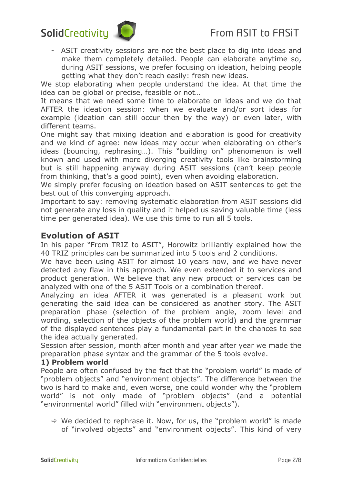- ASIT creativity sessions are not the best place to dig into ideas and make them completely detailed. People can elaborate anytime so, during ASIT sessions, we prefer focusing on ideation, helping people getting what they don't reach easily: fresh new ideas.

We stop elaborating when people understand the idea. At that time the idea can be global or precise, feasible or not…

It means that we need some time to elaborate on ideas and we do that AFTER the ideation session: when we evaluate and/or sort ideas for example (ideation can still occur then by the way) or even later, with different teams.

One might say that mixing ideation and elaboration is good for creativity and we kind of agree: new ideas may occur when elaborating on other's ideas (bouncing, rephrasing…). This "building on" phenomenon is well known and used with more diverging creativity tools like brainstorming but is still happening anyway during ASIT sessions (can't keep people from thinking, that's a good point), even when avoiding elaboration.

We simply prefer focusing on ideation based on ASIT sentences to get the best out of this converging approach.

Important to say: removing systematic elaboration from ASIT sessions did not generate any loss in quality and it helped us saving valuable time (less time per generated idea). We use this time to run all 5 tools.

# **Evolution of ASIT**

In his paper "From TRIZ to ASIT", Horowitz brilliantly explained how the 40 TRIZ principles can be summarized into 5 tools and 2 conditions.

We have been using ASIT for almost 10 years now, and we have never detected any flaw in this approach. We even extended it to services and product generation. We believe that any new product or services can be analyzed with one of the 5 ASIT Tools or a combination thereof.

Analyzing an idea AFTER it was generated is a pleasant work but generating the said idea can be considered as another story. The ASIT preparation phase (selection of the problem angle, zoom level and wording, selection of the objects of the problem world) and the grammar of the displayed sentences play a fundamental part in the chances to see the idea actually generated.

Session after session, month after month and year after year we made the preparation phase syntax and the grammar of the 5 tools evolve.

#### **1) Problem world**

People are often confused by the fact that the "problem world" is made of "problem objects" and "environment objects". The difference between the two is hard to make and, even worse, one could wonder why the "problem world" is not only made of "problem objects" (and a potential "environmental world" filled with "environment objects").

 $\Rightarrow$  We decided to rephrase it. Now, for us, the "problem world" is made of "involved objects" and "environment objects". This kind of very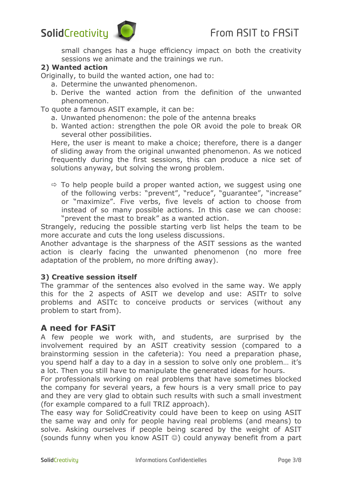# SolidCreativity **CO** From ASIT to FASIT

small changes has a huge efficiency impact on both the creativity sessions we animate and the trainings we run.

#### **2) Wanted action**

Originally, to build the wanted action, one had to:

- a. Determine the unwanted phenomenon.
- b. Derive the wanted action from the definition of the unwanted phenomenon.

To quote a famous ASIT example, it can be:

- a. Unwanted phenomenon: the pole of the antenna breaks
- b. Wanted action: strengthen the pole OR avoid the pole to break OR several other possibilities.

Here, the user is meant to make a choice; therefore, there is a danger of sliding away from the original unwanted phenomenon. As we noticed frequently during the first sessions, this can produce a nice set of solutions anyway, but solving the wrong problem.

 $\Rightarrow$  To help people build a proper wanted action, we suggest using one of the following verbs: "prevent", "reduce", "guarantee", "increase" or "maximize". Five verbs, five levels of action to choose from instead of so many possible actions. In this case we can choose: "prevent the mast to break" as a wanted action.

Strangely, reducing the possible starting verb list helps the team to be more accurate and cuts the long useless discussions.

Another advantage is the sharpness of the ASIT sessions as the wanted action is clearly facing the unwanted phenomenon (no more free adaptation of the problem, no more drifting away).

#### **3) Creative session itself**

The grammar of the sentences also evolved in the same way. We apply this for the 2 aspects of ASIT we develop and use: ASITr to solve problems and ASITc to conceive products or services (without any problem to start from).

## **A need for FASiT**

A few people we work with, and students, are surprised by the involvement required by an ASIT creativity session (compared to a brainstorming session in the cafeteria): You need a preparation phase, you spend half a day to a day in a session to solve only one problem… it's a lot. Then you still have to manipulate the generated ideas for hours.

For professionals working on real problems that have sometimes blocked the company for several years, a few hours is a very small price to pay and they are very glad to obtain such results with such a small investment (for example compared to a full TRIZ approach).

The easy way for SolidCreativity could have been to keep on using ASIT the same way and only for people having real problems (and means) to solve. Asking ourselves if people being scared by the weight of ASIT (sounds funny when you know ASIT ©) could anyway benefit from a part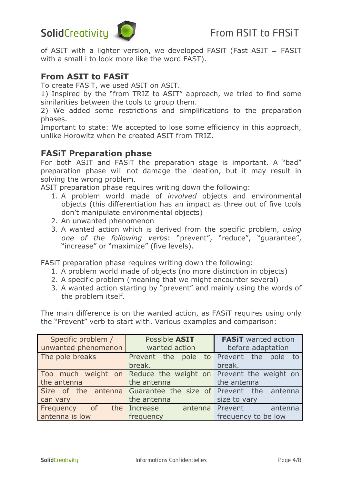# SolidCreativity **C** From ASIT to FASIT

of ASIT with a lighter version, we developed FASiT (Fast ASIT = FASIT with a small i to look more like the word FAST).

# **From ASIT to FASiT**

To create FASiT, we used ASIT on ASIT.

1) Inspired by the "from TRIZ to ASIT" approach, we tried to find some similarities between the tools to group them.

2) We added some restrictions and simplifications to the preparation phases.

Important to state: We accepted to lose some efficiency in this approach, unlike Horowitz when he created ASIT from TRIZ.

## **FASiT Preparation phase**

For both ASIT and FASiT the preparation stage is important. A "bad" preparation phase will not damage the ideation, but it may result in solving the wrong problem.

ASIT preparation phase requires writing down the following:

- 1. A problem world made of *involved* objects and environmental objects (this differentiation has an impact as three out of five tools don't manipulate environmental objects)
- 2. An unwanted phenomenon
- 3. A wanted action which is derived from the specific problem, *using one of the following verbs*: "prevent", "reduce", "guarantee", "increase" or "maximize" (five levels).

FASiT preparation phase requires writing down the following:

- 1. A problem world made of objects (no more distinction in objects)
- 2. A specific problem (meaning that we might encounter several)
- 3. A wanted action starting by "prevent" and mainly using the words of the problem itself.

The main difference is on the wanted action, as FASiT requires using only the "Prevent" verb to start with. Various examples and comparison:

| Specific problem /<br>unwanted phenomenon   | Possible ASIT<br>wanted action                                               | <b>FASIT</b> wanted action<br>before adaptation |
|---------------------------------------------|------------------------------------------------------------------------------|-------------------------------------------------|
| The pole breaks                             | Prevent the pole to Prevent the pole to<br>break.                            | break.                                          |
| the antenna                                 | Too much weight on Reduce the weight on Prevent the weight on<br>the antenna | the antenna                                     |
| can vary                                    | Size of the antenna Guarantee the size of Prevent the antenna<br>the antenna | size to vary                                    |
| Frequency of the Increase<br>antenna is low | frequency                                                                    | antenna Prevent antenna<br>frequency to be low  |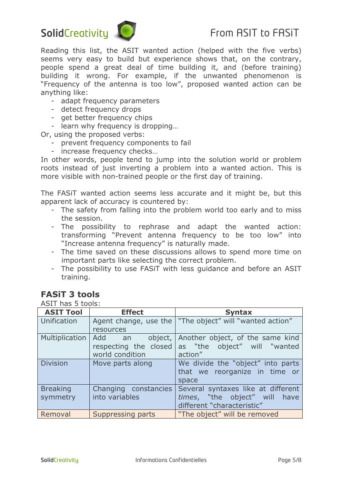# SolidCreativity  $\bigcup$  From ASIT to FASIT



Reading this list, the ASIT wanted action (helped with the five verbs) seems very easy to build but experience shows that, on the contrary, people spend a great deal of time building it, and (before training) building it wrong. For example, if the unwanted phenomenon is "Frequency of the antenna is too low", proposed wanted action can be anything like:

- adapt frequency parameters
- detect frequency drops
- get better frequency chips
- learn why frequency is dropping…

Or, using the proposed verbs:

- prevent frequency components to fail
- increase frequency checks…

In other words, people tend to jump into the solution world or problem roots instead of just inverting a problem into a wanted action. This is more visible with non-trained people or the first day of training.

The FASiT wanted action seems less accurate and it might be, but this apparent lack of accuracy is countered by:

- The safety from falling into the problem world too early and to miss the session.
- The possibility to rephrase and adapt the wanted action: transforming "Prevent antenna frequency to be too low" into "Increase antenna frequency" is naturally made.
- The time saved on these discussions allows to spend more time on important parts like selecting the correct problem.
- The possibility to use FASiT with less guidance and before an ASIT training.

# **FASiT 3 tools**

ASIT has 5 tools:

| <b>ASIT Tool</b>            | <b>Effect</b>                                                 | <b>Syntax</b>                                                                                     |
|-----------------------------|---------------------------------------------------------------|---------------------------------------------------------------------------------------------------|
| Unification                 | resources                                                     | Agent change, use the   "The object" will "wanted action"                                         |
| Multiplication              | Add an<br>object,<br>respecting the closed<br>world condition | Another object, of the same kind<br>as "the object" will "wanted<br>action"                       |
| <b>Division</b>             | Move parts along                                              | We divide the "object" into parts<br>that we reorganize in time or<br>space                       |
| <b>Breaking</b><br>symmetry | Changing constancies<br>into variables                        | Several syntaxes like at different<br>times, "the object" will have<br>different "characteristic" |
| Removal                     | Suppressing parts                                             | "The object" will be removed                                                                      |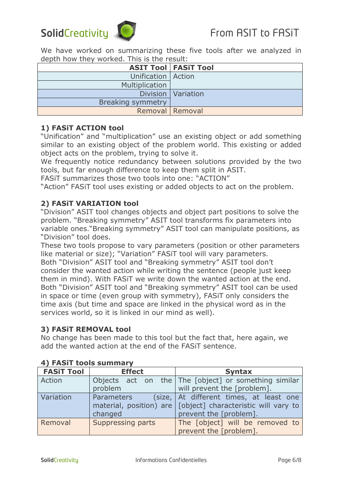We have worked on summarizing these five tools after we analyzed in depth how they worked. This is the result:

|                          | <b>ASIT Tool   FASIT Tool</b> |
|--------------------------|-------------------------------|
| Unification   Action     |                               |
| Multiplication           |                               |
|                          | Division   Variation          |
| <b>Breaking symmetry</b> |                               |
|                          | Removal Removal               |

#### **1) FASiT ACTION tool**

"Unification" and "multiplication" use an existing object or add something similar to an existing object of the problem world. This existing or added object acts on the problem, trying to solve it.

We frequently notice redundancy between solutions provided by the two tools, but far enough difference to keep them split in ASIT.

FASiT summarizes those two tools into one: "ACTION"

"Action" FASiT tool uses existing or added objects to act on the problem.

#### **2) FASiT VARIATION tool**

"Division" ASIT tool changes objects and object part positions to solve the problem. "Breaking symmetry" ASIT tool transforms fix parameters into variable ones."Breaking symmetry" ASIT tool can manipulate positions, as "Division" tool does.

These two tools propose to vary parameters (position or other parameters like material or size); "Variation" FASiT tool will vary parameters. Both "Division" ASIT tool and "Breaking symmetry" ASIT tool don't consider the wanted action while writing the sentence (people just keep them in mind). With FASiT we write down the wanted action at the end. Both "Division" ASIT tool and "Breaking symmetry" ASIT tool can be used in space or time (even group with symmetry), FASiT only considers the time axis (but time and space are linked in the physical word as in the services world, so it is linked in our mind as well).

#### **3) FASiT REMOVAL tool**

No change has been made to this tool but the fact that, here again, we add the wanted action at the end of the FASiT sentence.

| <b>FASiT Tool</b> | <b>Effect</b>     | <b>Syntax</b>                                                 |  |  |
|-------------------|-------------------|---------------------------------------------------------------|--|--|
| Action            |                   | Objects act on the The [object] or something similar          |  |  |
|                   | problem           | will prevent the [problem].                                   |  |  |
| Variation         | Parameters        | (size, At different times, at least one                       |  |  |
|                   |                   | material, position) are [[object] characteristic will vary to |  |  |
|                   | changed           | prevent the [problem].                                        |  |  |
| Removal           | Suppressing parts | The [object] will be removed to                               |  |  |
|                   |                   | prevent the [problem].                                        |  |  |

#### **4) FASiT tools summary**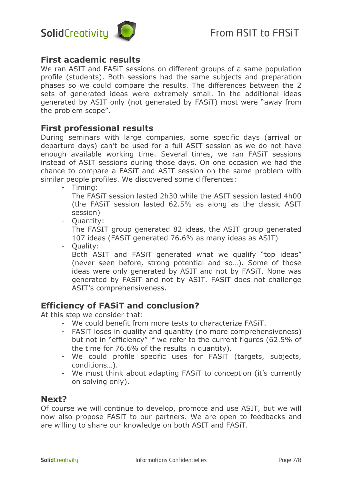

## **First academic results**

We ran ASIT and FASiT sessions on different groups of a same population profile (students). Both sessions had the same subjects and preparation phases so we could compare the results. The differences between the 2 sets of generated ideas were extremely small. In the additional ideas generated by ASIT only (not generated by FASiT) most were "away from the problem scope".

# **First professional results**

During seminars with large companies, some specific days (arrival or departure days) can't be used for a full ASIT session as we do not have enough available working time. Several times, we ran FASiT sessions instead of ASIT sessions during those days. On one occasion we had the chance to compare a FASiT and ASIT session on the same problem with similar people profiles. We discovered some differences:

- Timing:

The FASiT session lasted 2h30 while the ASIT session lasted 4h00 (the FASiT session lasted 62.5% as along as the classic ASIT session)

- Quantity:

The FASIT group generated 82 ideas, the ASIT group generated 107 ideas (FASiT generated 76.6% as many ideas as ASIT)

- Quality:

Both ASIT and FASiT generated what we qualify "top ideas" (never seen before, strong potential and so…). Some of those ideas were only generated by ASIT and not by FASiT. None was generated by FASiT and not by ASIT. FASiT does not challenge ASIT's comprehensiveness.

# **Efficiency of FASiT and conclusion?**

At this step we consider that:

- We could benefit from more tests to characterize FASiT.
- FASiT loses in quality and quantity (no more comprehensiveness) but not in "efficiency" if we refer to the current figures (62.5% of the time for 76.6% of the results in quantity).
- We could profile specific uses for FASiT (targets, subjects, conditions…).
- We must think about adapting FASiT to conception (it's currently on solving only).

## **Next?**

Of course we will continue to develop, promote and use ASIT, but we will now also propose FASiT to our partners. We are open to feedbacks and are willing to share our knowledge on both ASIT and FASiT.